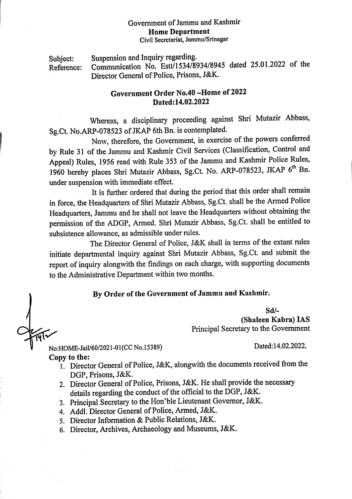## Government of Jammu and Kashmir Home Department Civil Secretariat, Jammu/Srinagar

Subject: Suspension and Inquiry regarding. Reference: Communication No. Estt/1534/8934/8945 dated 25.01.2022 of the Dircctor General of Police, Prisons, J&K.

## Government Order No.40-Home of 2022 Dated:14.02.2022

Whereas, <sup>a</sup> disciplinary proceeding against Shri Mutazir Abbass, Sg.Ct. No.ARP-078523 of JKAP 6th Bn. is contemplated.

Now, therefore, the Government, in exercise of the powers conferred by Rule <sup>31</sup> of the Jammu and Kashmir Civil Services (Classification, Control and Appeal) Rules, <sup>1956</sup> read with Rule <sup>353</sup> of the Jammu and Kashmir Police Rules, <sup>1960</sup> hereby places Shri Mutazir Abbass, Sg.Ct. No. ARP-078523, JKAP 6" Bn. under suspension with immediate effect.

It is further ordered that during the period that this order shall remain in force, the Headquarters of Shri Mutazir Abbass, Sg.Ct. shall be the Armed Police Headquarters, Jammu and he shall not leave the Headquarters without obtaining the permission of the ADGP, Armed. Shri Mutazir Abbass, Sg.Ct. shall be entitled to subsistence allowance, as admissible under rules.

The Director General of Police, J&K shall in terms of the extant rules initiate departmental inquiry against Shri Mutazir Abbass, Sg.Ct. and submit the report of inquiry alongwith the findings on each charge, with supporting documents to the Administrative Department within two months.

## By Order of the Government of Jammu and Kashmir.

Sd/- (Shaleen Kabra) IAS Principal Secretary to the Government

No:HOME-Jail/60/2021-01(CC No.15389) Dated:14.02.2022.

Copy to the:

- 1. Director General of Police, J&K, alongwith the documents received from the DGP, Prisons, J&K.
- 2. Director General of Police, Prisons, J&K. He shall provide the necessary details regarding the conduct of the official to the DGP, J&K.
- 3. Principal Secretary to the Hon'ble Lieutenant Governor, J&K.
- 4. Addl. Director General of Police, Armed, J&K.
- 5. Director Information & Public Relations, J&K.
- 6. Director, Archives, Archaeology and Museums, J&K.